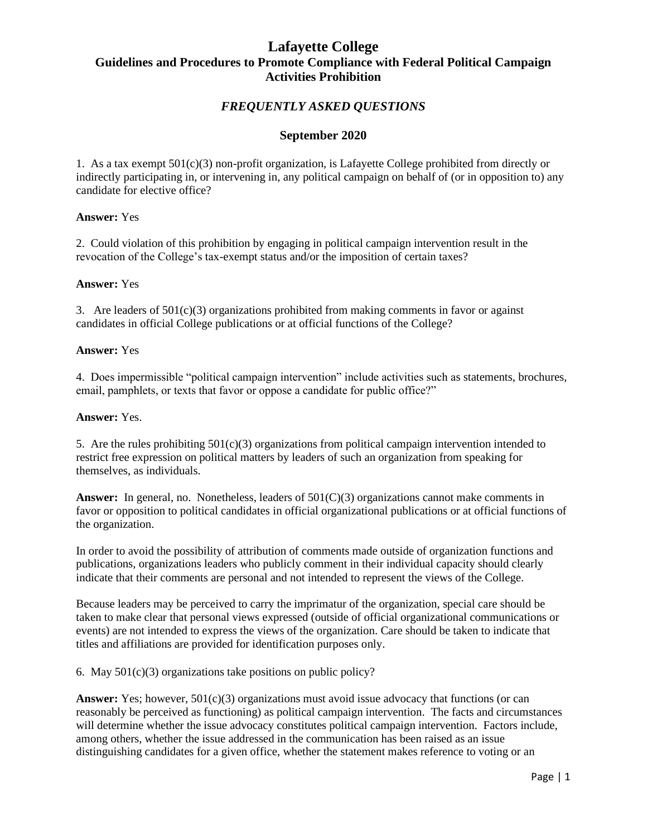# **Lafayette College Guidelines and Procedures to Promote Compliance with Federal Political Campaign Activities Prohibition**

## *FREQUENTLY ASKED QUESTIONS*

### **September 2020**

1. As a tax exempt  $501(c)(3)$  non-profit organization, is Lafayette College prohibited from directly or indirectly participating in, or intervening in, any political campaign on behalf of (or in opposition to) any candidate for elective office?

### **Answer:** Yes

2. Could violation of this prohibition by engaging in political campaign intervention result in the revocation of the College's tax-exempt status and/or the imposition of certain taxes?

## **Answer:** Yes

3. Are leaders of  $501(c)(3)$  organizations prohibited from making comments in favor or against candidates in official College publications or at official functions of the College?

#### **Answer:** Yes

4. Does impermissible "political campaign intervention" include activities such as statements, brochures, email, pamphlets, or texts that favor or oppose a candidate for public office?"

#### **Answer:** Yes.

5. Are the rules prohibiting 501(c)(3) organizations from political campaign intervention intended to restrict free expression on political matters by leaders of such an organization from speaking for themselves, as individuals.

Answer: In general, no. Nonetheless, leaders of  $501(C)(3)$  organizations cannot make comments in favor or opposition to political candidates in official organizational publications or at official functions of the organization.

In order to avoid the possibility of attribution of comments made outside of organization functions and publications, organizations leaders who publicly comment in their individual capacity should clearly indicate that their comments are personal and not intended to represent the views of the College.

Because leaders may be perceived to carry the imprimatur of the organization, special care should be taken to make clear that personal views expressed (outside of official organizational communications or events) are not intended to express the views of the organization. Care should be taken to indicate that titles and affiliations are provided for identification purposes only.

6. May 501(c)(3) organizations take positions on public policy?

Answer: Yes; however,  $501(c)(3)$  organizations must avoid issue advocacy that functions (or can reasonably be perceived as functioning) as political campaign intervention. The facts and circumstances will determine whether the issue advocacy constitutes political campaign intervention. Factors include, among others, whether the issue addressed in the communication has been raised as an issue distinguishing candidates for a given office, whether the statement makes reference to voting or an